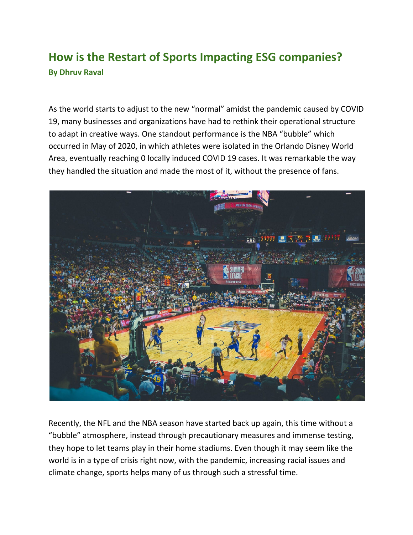## **How is the Restart of Sports Impacting ESG companies? By Dhruv Raval**

As the world starts to adjust to the new "normal" amidst the pandemic caused by COVID 19, many businesses and organizations have had to rethink their operational structure to adapt in creative ways. One standout performance is the NBA "bubble" which occurred in May of 2020, in which athletes were isolated in the Orlando Disney World Area, eventually reaching 0 locally induced COVID 19 cases. It was remarkable the way they handled the situation and made the most of it, without the presence of fans.



Recently, the NFL and the NBA season have started back up again, this time without a "bubble" atmosphere, instead through precautionary measures and immense testing, they hope to let teams play in their home stadiums. Even though it may seem like the world is in a type of crisis right now, with the pandemic, increasing racial issues and climate change, sports helps many of us through such a stressful time.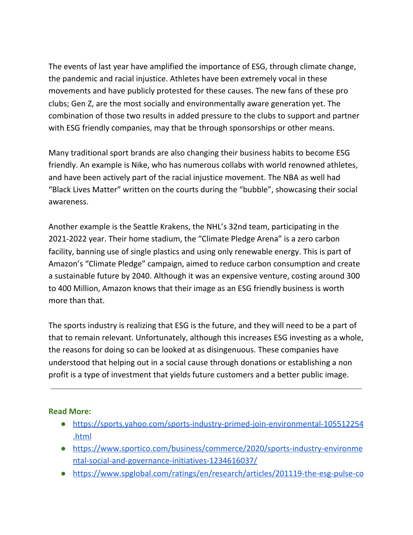The events of last year have amplified the importance of ESG, through climate change, the pandemic and racial injustice. Athletes have been extremely vocal in these movements and have publicly protested for these causes. The new fans of these pro clubs; Gen Z, are the most socially and environmentally aware generation yet. The combination of those two results in added pressure to the clubs to support and partner with ESG friendly companies, may that be through sponsorships or other means.

Many traditional sport brands are also changing their business habits to become ESG friendly. An example is Nike, who has numerous collabs with world renowned athletes, and have been actively part of the racial injustice movement. The NBA as well had "Black Lives Matter" written on the courts during the "bubble", showcasing their social awareness.

Another example is the Seattle Krakens, the NHL's 32nd team, participating in the 2021-2022 year. Their home stadium, the "Climate Pledge Arena" is a zero carbon facility, banning use of single plastics and using only renewable energy. This is part of Amazon's "Climate Pledge" campaign, aimed to reduce carbon consumption and create a sustainable future by 2040. Although it was an expensive venture, costing around 300 to 400 Million, Amazon knows that their image as an ESG friendly business is worth more than that.

The sports industry is realizing that ESG is the future, and they will need to be a part of that to remain relevant. Unfortunately, although this increases ESG investing as a whole, the reasons for doing so can be looked at as disingenuous. These companies have understood that helping out in a social cause through donations or establishing a non profit is a type of investment that yields future customers and a better public image.

## **Read More:**

- [https://sports.yahoo.com/sports-industry-primed-join-environmental-105512254](https://sports.yahoo.com/sports-industry-primed-join-environmental-105512254.html) [.html](https://sports.yahoo.com/sports-industry-primed-join-environmental-105512254.html)
- [https://www.sportico.com/business/commerce/2020/sports-industry-environme](https://www.sportico.com/business/commerce/2020/sports-industry-environmental-social-and-governance-initiatives-1234616037/) [ntal-social-and-governance-initiatives-1234616037/](https://www.sportico.com/business/commerce/2020/sports-industry-environmental-social-and-governance-initiatives-1234616037/)
- [https://www.spglobal.com/ratings/en/research/articles/201119-the-esg-pulse-co](https://www.spglobal.com/ratings/en/research/articles/201119-the-esg-pulse-covid-19-vaccine-hope-as-second-wave-sets-in-11740791)